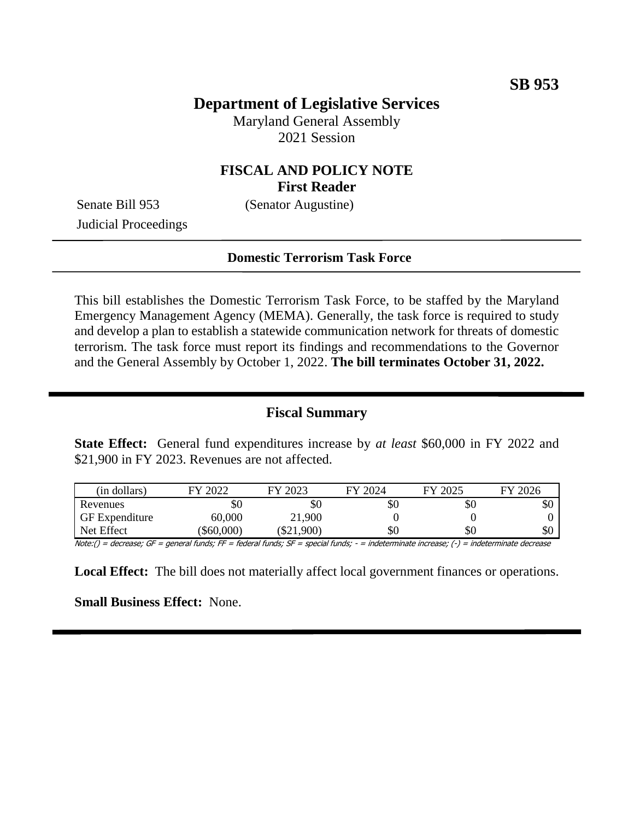## **Department of Legislative Services**

Maryland General Assembly 2021 Session

## **FISCAL AND POLICY NOTE First Reader**

Judicial Proceedings

Senate Bill 953 (Senator Augustine)

#### **Domestic Terrorism Task Force**

This bill establishes the Domestic Terrorism Task Force, to be staffed by the Maryland Emergency Management Agency (MEMA). Generally, the task force is required to study and develop a plan to establish a statewide communication network for threats of domestic terrorism. The task force must report its findings and recommendations to the Governor and the General Assembly by October 1, 2022. **The bill terminates October 31, 2022.**

### **Fiscal Summary**

**State Effect:** General fund expenditures increase by *at least* \$60,000 in FY 2022 and \$21,900 in FY 2023. Revenues are not affected.

| (in dollars)          | $E$ Y 2022 | 2023<br>EV | FY 2024 | 12025<br>FY | 2026<br>FY |
|-----------------------|------------|------------|---------|-------------|------------|
| Revenues              | \$0        | \$0        | \$0     | \$0         | \$0        |
| <b>GF</b> Expenditure | 60,000     | 21,900     |         |             |            |
| Net Effect            | \$60,000   | \$21,900   | \$0     | \$0         | \$0        |

Note:() = decrease; GF = general funds; FF = federal funds; SF = special funds; - = indeterminate increase; (-) = indeterminate decrease

**Local Effect:** The bill does not materially affect local government finances or operations.

**Small Business Effect:** None.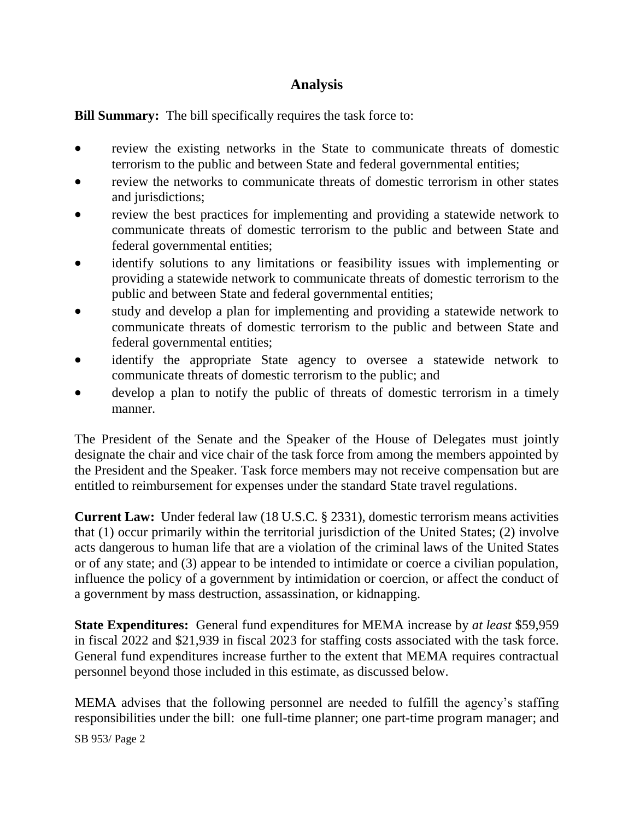# **Analysis**

**Bill Summary:** The bill specifically requires the task force to:

- review the existing networks in the State to communicate threats of domestic terrorism to the public and between State and federal governmental entities;
- review the networks to communicate threats of domestic terrorism in other states and jurisdictions;
- review the best practices for implementing and providing a statewide network to communicate threats of domestic terrorism to the public and between State and federal governmental entities;
- identify solutions to any limitations or feasibility issues with implementing or providing a statewide network to communicate threats of domestic terrorism to the public and between State and federal governmental entities;
- study and develop a plan for implementing and providing a statewide network to communicate threats of domestic terrorism to the public and between State and federal governmental entities;
- identify the appropriate State agency to oversee a statewide network to communicate threats of domestic terrorism to the public; and
- develop a plan to notify the public of threats of domestic terrorism in a timely manner.

The President of the Senate and the Speaker of the House of Delegates must jointly designate the chair and vice chair of the task force from among the members appointed by the President and the Speaker. Task force members may not receive compensation but are entitled to reimbursement for expenses under the standard State travel regulations.

**Current Law:** Under federal law (18 U.S.C. § 2331), domestic terrorism means activities that (1) occur primarily within the territorial jurisdiction of the United States; (2) involve acts dangerous to human life that are a violation of the criminal laws of the United States or of any state; and (3) appear to be intended to intimidate or coerce a civilian population, influence the policy of a government by intimidation or coercion, or affect the conduct of a government by mass destruction, assassination, or kidnapping.

**State Expenditures:** General fund expenditures for MEMA increase by *at least* \$59,959 in fiscal 2022 and \$21,939 in fiscal 2023 for staffing costs associated with the task force. General fund expenditures increase further to the extent that MEMA requires contractual personnel beyond those included in this estimate, as discussed below.

MEMA advises that the following personnel are needed to fulfill the agency's staffing responsibilities under the bill: one full-time planner; one part-time program manager; and

SB 953/ Page 2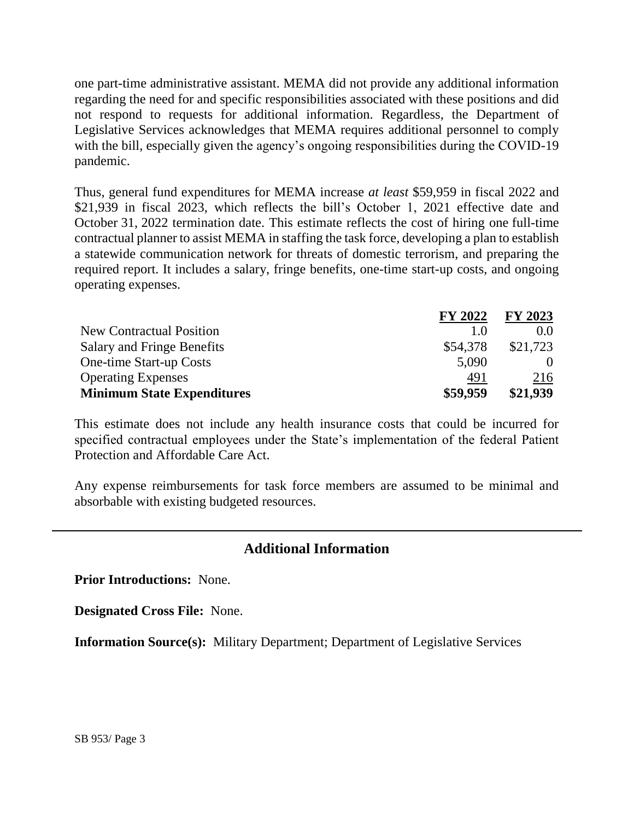one part-time administrative assistant. MEMA did not provide any additional information regarding the need for and specific responsibilities associated with these positions and did not respond to requests for additional information. Regardless, the Department of Legislative Services acknowledges that MEMA requires additional personnel to comply with the bill, especially given the agency's ongoing responsibilities during the COVID-19 pandemic.

Thus, general fund expenditures for MEMA increase *at least* \$59,959 in fiscal 2022 and \$21,939 in fiscal 2023, which reflects the bill's October 1, 2021 effective date and October 31, 2022 termination date. This estimate reflects the cost of hiring one full-time contractual planner to assist MEMA in staffing the task force, developing a plan to establish a statewide communication network for threats of domestic terrorism, and preparing the required report. It includes a salary, fringe benefits, one-time start-up costs, and ongoing operating expenses.

|                                   | <b>FY 2022</b> | FY 2023  |
|-----------------------------------|----------------|----------|
| <b>New Contractual Position</b>   | 1.0            | 0.0      |
| Salary and Fringe Benefits        | \$54,378       | \$21,723 |
| One-time Start-up Costs           | 5,090          | $\theta$ |
| <b>Operating Expenses</b>         | 491            | 216      |
| <b>Minimum State Expenditures</b> | \$59,959       | \$21,939 |

This estimate does not include any health insurance costs that could be incurred for specified contractual employees under the State's implementation of the federal Patient Protection and Affordable Care Act.

Any expense reimbursements for task force members are assumed to be minimal and absorbable with existing budgeted resources.

## **Additional Information**

**Prior Introductions:** None.

**Designated Cross File:** None.

**Information Source(s):** Military Department; Department of Legislative Services